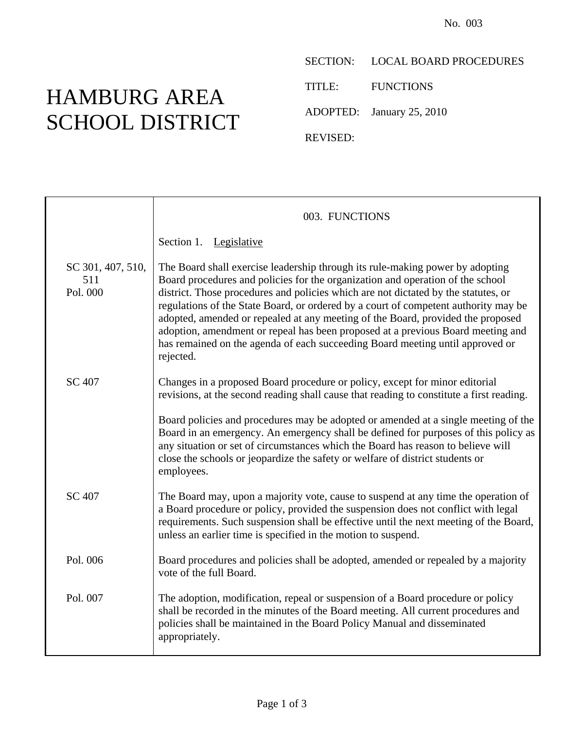## HAMBURG AREA SCHOOL DISTRICT

SECTION: LOCAL BOARD PROCEDURES

TITLE: FUNCTIONS

ADOPTED: January 25, 2010

REVISED:

|                                      | 003. FUNCTIONS                                                                                                                                                                                                                                                                                                                                                                                                                                                                                                                                                                                                   |
|--------------------------------------|------------------------------------------------------------------------------------------------------------------------------------------------------------------------------------------------------------------------------------------------------------------------------------------------------------------------------------------------------------------------------------------------------------------------------------------------------------------------------------------------------------------------------------------------------------------------------------------------------------------|
|                                      | Section 1. Legislative                                                                                                                                                                                                                                                                                                                                                                                                                                                                                                                                                                                           |
| SC 301, 407, 510,<br>511<br>Pol. 000 | The Board shall exercise leadership through its rule-making power by adopting<br>Board procedures and policies for the organization and operation of the school<br>district. Those procedures and policies which are not dictated by the statutes, or<br>regulations of the State Board, or ordered by a court of competent authority may be<br>adopted, amended or repealed at any meeting of the Board, provided the proposed<br>adoption, amendment or repeal has been proposed at a previous Board meeting and<br>has remained on the agenda of each succeeding Board meeting until approved or<br>rejected. |
| <b>SC 407</b>                        | Changes in a proposed Board procedure or policy, except for minor editorial<br>revisions, at the second reading shall cause that reading to constitute a first reading.                                                                                                                                                                                                                                                                                                                                                                                                                                          |
|                                      | Board policies and procedures may be adopted or amended at a single meeting of the<br>Board in an emergency. An emergency shall be defined for purposes of this policy as<br>any situation or set of circumstances which the Board has reason to believe will<br>close the schools or jeopardize the safety or welfare of district students or<br>employees.                                                                                                                                                                                                                                                     |
| SC 407                               | The Board may, upon a majority vote, cause to suspend at any time the operation of<br>a Board procedure or policy, provided the suspension does not conflict with legal<br>requirements. Such suspension shall be effective until the next meeting of the Board,<br>unless an earlier time is specified in the motion to suspend.                                                                                                                                                                                                                                                                                |
| Pol. 006                             | Board procedures and policies shall be adopted, amended or repealed by a majority<br>vote of the full Board.                                                                                                                                                                                                                                                                                                                                                                                                                                                                                                     |
| Pol. 007                             | The adoption, modification, repeal or suspension of a Board procedure or policy<br>shall be recorded in the minutes of the Board meeting. All current procedures and<br>policies shall be maintained in the Board Policy Manual and disseminated<br>appropriately.                                                                                                                                                                                                                                                                                                                                               |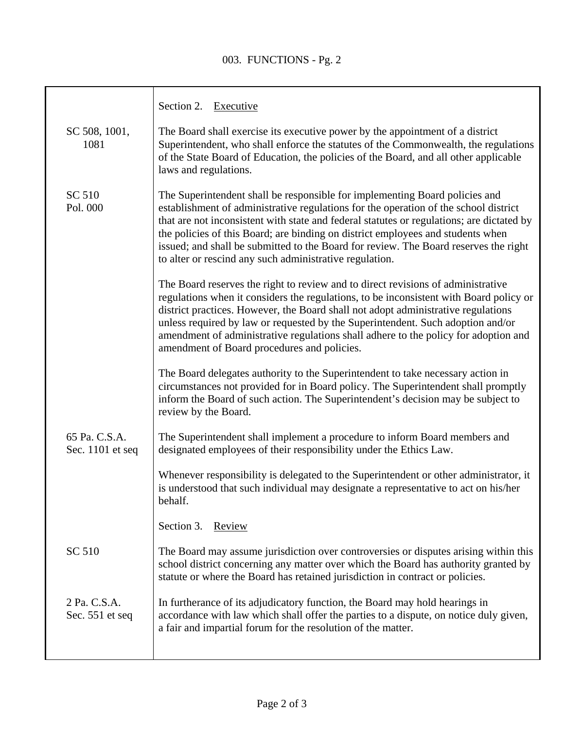## 003. FUNCTIONS - Pg. 2

|                                   | Section 2. Executive                                                                                                                                                                                                                                                                                                                                                                                                                                                                                   |
|-----------------------------------|--------------------------------------------------------------------------------------------------------------------------------------------------------------------------------------------------------------------------------------------------------------------------------------------------------------------------------------------------------------------------------------------------------------------------------------------------------------------------------------------------------|
| SC 508, 1001,<br>1081             | The Board shall exercise its executive power by the appointment of a district<br>Superintendent, who shall enforce the statutes of the Commonwealth, the regulations<br>of the State Board of Education, the policies of the Board, and all other applicable<br>laws and regulations.                                                                                                                                                                                                                  |
| SC 510<br>Pol. 000                | The Superintendent shall be responsible for implementing Board policies and<br>establishment of administrative regulations for the operation of the school district<br>that are not inconsistent with state and federal statutes or regulations; are dictated by<br>the policies of this Board; are binding on district employees and students when<br>issued; and shall be submitted to the Board for review. The Board reserves the right<br>to alter or rescind any such administrative regulation. |
|                                   | The Board reserves the right to review and to direct revisions of administrative<br>regulations when it considers the regulations, to be inconsistent with Board policy or<br>district practices. However, the Board shall not adopt administrative regulations<br>unless required by law or requested by the Superintendent. Such adoption and/or<br>amendment of administrative regulations shall adhere to the policy for adoption and<br>amendment of Board procedures and policies.               |
|                                   | The Board delegates authority to the Superintendent to take necessary action in<br>circumstances not provided for in Board policy. The Superintendent shall promptly<br>inform the Board of such action. The Superintendent's decision may be subject to<br>review by the Board.                                                                                                                                                                                                                       |
| 65 Pa. C.S.A.<br>Sec. 1101 et seq | The Superintendent shall implement a procedure to inform Board members and<br>designated employees of their responsibility under the Ethics Law.                                                                                                                                                                                                                                                                                                                                                       |
|                                   | Whenever responsibility is delegated to the Superintendent or other administrator, it<br>is understood that such individual may designate a representative to act on his/her<br>behalf.                                                                                                                                                                                                                                                                                                                |
|                                   | Section 3.<br>Review                                                                                                                                                                                                                                                                                                                                                                                                                                                                                   |
| SC 510                            | The Board may assume jurisdiction over controversies or disputes arising within this<br>school district concerning any matter over which the Board has authority granted by<br>statute or where the Board has retained jurisdiction in contract or policies.                                                                                                                                                                                                                                           |
| 2 Pa. C.S.A.<br>Sec. 551 et seq   | In furtherance of its adjudicatory function, the Board may hold hearings in<br>accordance with law which shall offer the parties to a dispute, on notice duly given,<br>a fair and impartial forum for the resolution of the matter.                                                                                                                                                                                                                                                                   |
|                                   |                                                                                                                                                                                                                                                                                                                                                                                                                                                                                                        |